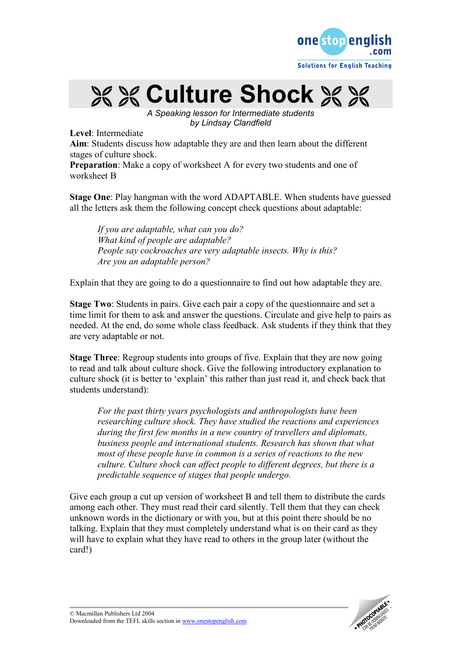

**XX & Culture Shock XX XX** 

A Speaking lesson for Intermediate students by Lindsay Clandfield

Level: Intermediate

Aim: Students discuss how adaptable they are and then learn about the different stages of culture shock.

Preparation: Make a copy of worksheet A for every two students and one of worksheet B

Stage One: Play hangman with the word ADAPTABLE. When students have guessed all the letters ask them the following concept check questions about adaptable:

If you are adaptable, what can you do? What kind of people are adaptable? People say cockroaches are very adaptable insects. Why is this? Are you an adaptable person?

Explain that they are going to do a questionnaire to find out how adaptable they are.

Stage Two: Students in pairs. Give each pair a copy of the questionnaire and set a time limit for them to ask and answer the questions. Circulate and give help to pairs as needed. At the end, do some whole class feedback. Ask students if they think that they are very adaptable or not.

Stage Three: Regroup students into groups of five. Explain that they are now going to read and talk about culture shock. Give the following introductory explanation to culture shock (it is better to 'explain' this rather than just read it, and check back that students understand):

For the past thirty years psychologists and anthropologists have been researching culture shock. They have studied the reactions and experiences during the first few months in a new country of travellers and diplomats, business people and international students. Research has shown that what most of these people have in common is a series of reactions to the new culture. Culture shock can affect people to different degrees, but there is a predictable sequence of stages that people undergo.

Give each group a cut up version of worksheet B and tell them to distribute the cards among each other. They must read their card silently. Tell them that they can check unknown words in the dictionary or with you, but at this point there should be no talking. Explain that they must completely understand what is on their card as they will have to explain what they have read to others in the group later (without the card!)

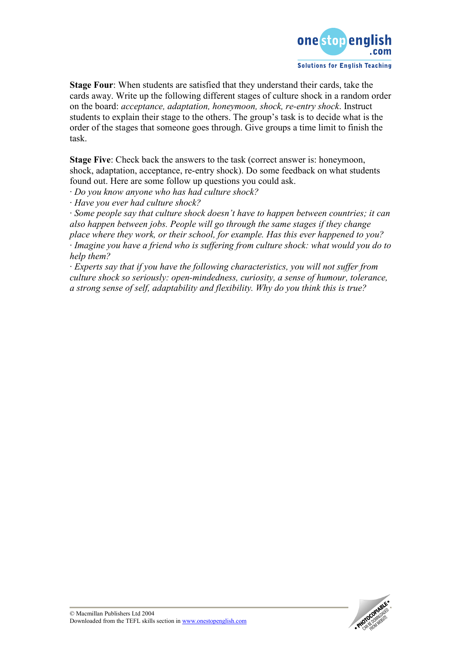

Stage Four: When students are satisfied that they understand their cards, take the cards away. Write up the following different stages of culture shock in a random order on the board: acceptance, adaptation, honeymoon, shock, re-entry shock. Instruct students to explain their stage to the others. The group's task is to decide what is the order of the stages that someone goes through. Give groups a time limit to finish the task.

Stage Five: Check back the answers to the task (correct answer is: honeymoon, shock, adaptation, acceptance, re-entry shock). Do some feedback on what students found out. Here are some follow up questions you could ask.

· Do you know anyone who has had culture shock?

· Have you ever had culture shock?

· Some people say that culture shock doesn't have to happen between countries; it can also happen between jobs. People will go through the same stages if they change place where they work, or their school, for example. Has this ever happened to you? · Imagine you have a friend who is suffering from culture shock: what would you do to help them?

· Experts say that if you have the following characteristics, you will not suffer from culture shock so seriously: open-mindedness, curiosity, a sense of humour, tolerance, a strong sense of self, adaptability and flexibility. Why do you think this is true?

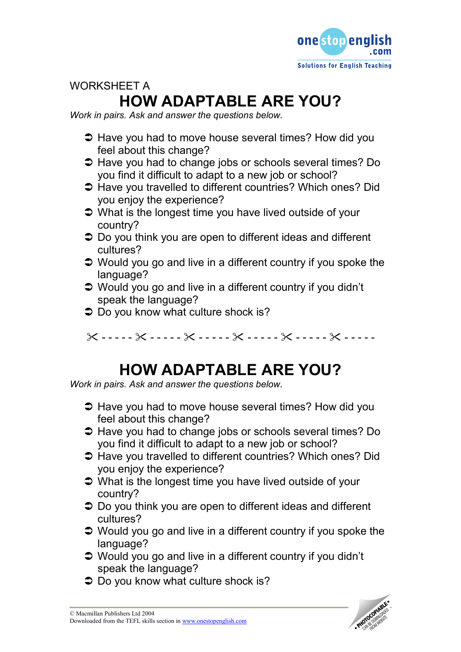

# WORKSHEET A HOW ADAPTABLE ARE YOU?

Work in pairs. Ask and answer the questions below.

- **→ Have you had to move house several times? How did you** feel about this change?
- **→** Have you had to change jobs or schools several times? Do you find it difficult to adapt to a new job or school?
- Have you travelled to different countries? Which ones? Did you enjoy the experience?
- **→** What is the longest time you have lived outside of your country?
- **→** Do you think you are open to different ideas and different cultures?
- **→** Would you go and live in a different country if you spoke the language?
- Would you go and live in a different country if you didn't speak the language?
- **→** Do you know what culture shock is?

 $X$  - - - - -  $X$  - - - - -  $X$  - - - - -  $X$  - - - - -  $X$  - - - - -  $X$  - - - - - -

# HOW ADAPTABLE ARE YOU?

Work in pairs. Ask and answer the questions below.

- **→ Have you had to move house several times? How did you** feel about this change?
- **→** Have you had to change jobs or schools several times? Do you find it difficult to adapt to a new job or school?
- **→ Have you travelled to different countries? Which ones? Did** you enjoy the experience?
- **→** What is the longest time you have lived outside of your country?
- **→** Do you think you are open to different ideas and different cultures?
- **→** Would you go and live in a different country if you spoke the language?
- Would you go and live in a different country if you didn't speak the language?
- **●** Do you know what culture shock is?